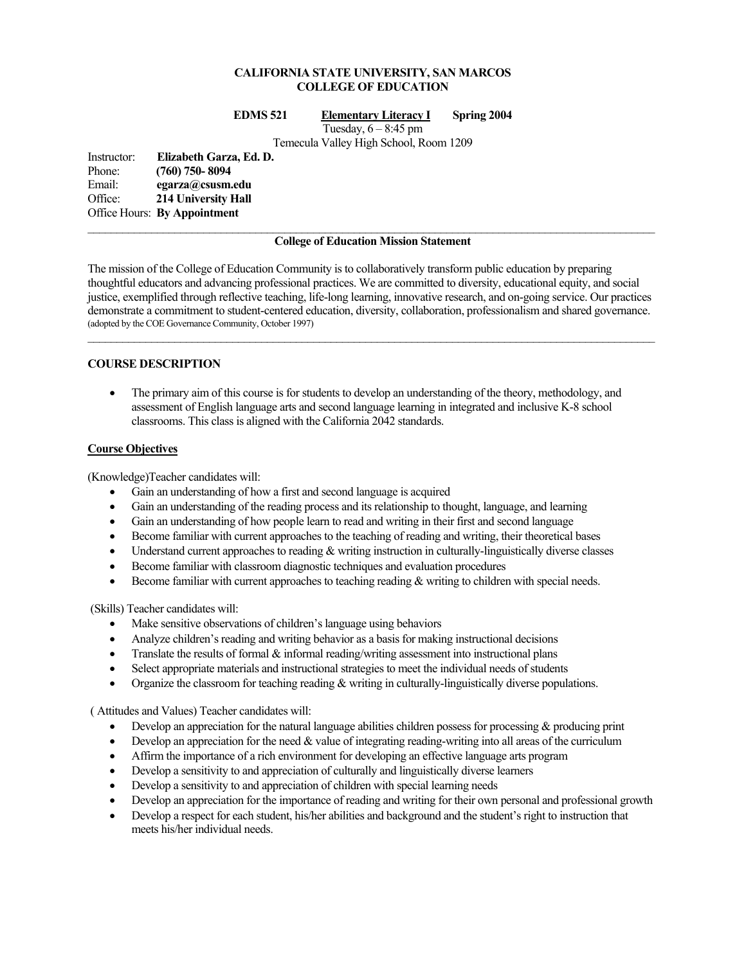# **CALIFORNIA STATE UNIVERSITY, SAN MARCOS COLLEGE OF EDUCATION**

#### **EDMS 521 Elementary Literacy I Spring 2004**

Tuesday,  $6 - 8:45$  pm

Temecula Valley High School, Room 1209

Instructor: **Elizabeth Garza, Ed. D.**  Phone: **(760) 750- 8094**  Email: **egarza@csusm.edu** Office: **214 University Hall**  Office Hours: **By Appointment**

#### **College of Education Mission Statement**

The mission of the College of Education Community is to collaboratively transform public education by preparing thoughtful educators and advancing professional practices. We are committed to diversity, educational equity, and social justice, exemplified through reflective teaching, life-long learning, innovative research, and on-going service. Our practices demonstrate a commitment to student-centered education, diversity, collaboration, professionalism and shared governance. (adopted by the COE Governance Community, October 1997)  $\mathcal{L}_\mathcal{L} = \{ \mathcal{L}_\mathcal{L} = \{ \mathcal{L}_\mathcal{L} = \{ \mathcal{L}_\mathcal{L} = \{ \mathcal{L}_\mathcal{L} = \{ \mathcal{L}_\mathcal{L} = \{ \mathcal{L}_\mathcal{L} = \{ \mathcal{L}_\mathcal{L} = \{ \mathcal{L}_\mathcal{L} = \{ \mathcal{L}_\mathcal{L} = \{ \mathcal{L}_\mathcal{L} = \{ \mathcal{L}_\mathcal{L} = \{ \mathcal{L}_\mathcal{L} = \{ \mathcal{L}_\mathcal{L} = \{ \mathcal{L}_\mathcal{$ 

## **COURSE DESCRIPTION**

• The primary aim of this course is for students to develop an understanding of the theory, methodology, and assessment of English language arts and second language learning in integrated and inclusive K-8 school classrooms. This class is aligned with the California 2042 standards.

## **Course Objectives**

(Knowledge)Teacher candidates will:

- Gain an understanding of how a first and second language is acquired
- Gain an understanding of the reading process and its relationship to thought, language, and learning
- Gain an understanding of how people learn to read and writing in their first and second language
- Become familiar with current approaches to the teaching of reading and writing, their theoretical bases
- Understand current approaches to reading & writing instruction in culturally-linguistically diverse classes
- Become familiar with classroom diagnostic techniques and evaluation procedures
- Become familiar with current approaches to teaching reading & writing to children with special needs.

(Skills) Teacher candidates will:

- Make sensitive observations of children's language using behaviors
- Analyze children's reading and writing behavior as a basis for making instructional decisions
- Translate the results of formal  $\&$  informal reading/writing assessment into instructional plans
- Select appropriate materials and instructional strategies to meet the individual needs of students
- Organize the classroom for teaching reading & writing in culturally-linguistically diverse populations.

( Attitudes and Values) Teacher candidates will:

- Develop an appreciation for the natural language abilities children possess for processing & producing print
- Develop an appreciation for the need  $&$  value of integrating reading-writing into all areas of the curriculum
- Affirm the importance of a rich environment for developing an effective language arts program
- Develop a sensitivity to and appreciation of culturally and linguistically diverse learners
- Develop a sensitivity to and appreciation of children with special learning needs
- Develop an appreciation for the importance of reading and writing for their own personal and professional growth
- Develop a respect for each student, his/her abilities and background and the student's right to instruction that meets his/her individual needs.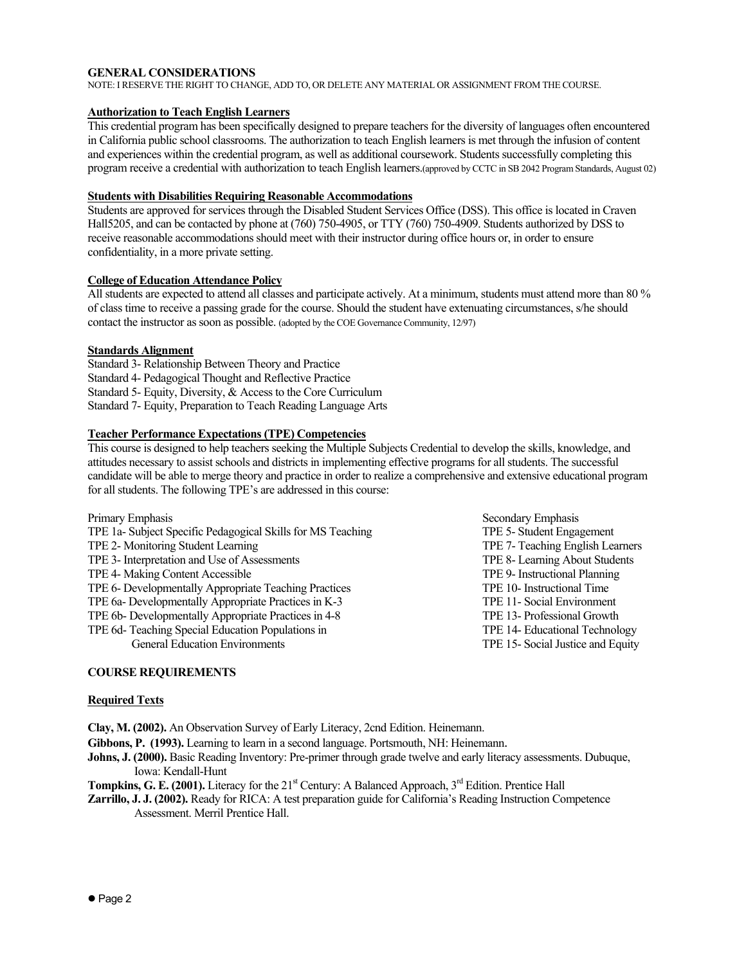## **GENERAL CONSIDERATIONS**

NOTE: I RESERVE THE RIGHT TO CHANGE, ADD TO, OR DELETE ANY MATERIAL OR ASSIGNMENT FROM THE COURSE.

## **Authorization to Teach English Learners**

This credential program has been specifically designed to prepare teachers for the diversity of languages often encountered in California public school classrooms. The authorization to teach English learners is met through the infusion of content and experiences within the credential program, as well as additional coursework. Students successfully completing this program receive a credential with authorization to teach English learners.(approved by CCTC in SB 2042 Program Standards, August 02)

## **Students with Disabilities Requiring Reasonable Accommodations**

Students are approved for services through the Disabled Student Services Office (DSS). This office is located in Craven Hall5205, and can be contacted by phone at (760) 750-4905, or TTY (760) 750-4909. Students authorized by DSS to receive reasonable accommodations should meet with their instructor during office hours or, in order to ensure confidentiality, in a more private setting.

## **College of Education Attendance Policy**

All students are expected to attend all classes and participate actively. At a minimum, students must attend more than 80 % of class time to receive a passing grade for the course. Should the student have extenuating circumstances, s/he should contact the instructor as soon as possible. (adopted by the COE Governance Community, 12/97)

### **Standards Alignment**

Standard 3- Relationship Between Theory and Practice Standard 4- Pedagogical Thought and Reflective Practice Standard 5- Equity, Diversity, & Access to the Core Curriculum Standard 7- Equity, Preparation to Teach Reading Language Arts

## **Teacher Performance Expectations (TPE) Competencies**

This course is designed to help teachers seeking the Multiple Subjects Credential to develop the skills, knowledge, and attitudes necessary to assist schools and districts in implementing effective programs for all students. The successful candidate will be able to merge theory and practice in order to realize a comprehensive and extensive educational program for all students. The following TPE's are addressed in this course:

| Primary Emphasis                                            | Secondary Emphasis                |
|-------------------------------------------------------------|-----------------------------------|
| TPE 1a- Subject Specific Pedagogical Skills for MS Teaching | TPE 5- Student Engagement         |
| TPE 2- Monitoring Student Learning                          | TPE 7- Teaching English Learners  |
| TPE 3- Interpretation and Use of Assessments                | TPE 8- Learning About Students    |
| TPE 4- Making Content Accessible                            | TPE 9- Instructional Planning     |
| TPE 6- Developmentally Appropriate Teaching Practices       | TPE 10- Instructional Time        |
| TPE 6a- Developmentally Appropriate Practices in K-3        | TPE 11- Social Environment        |
| TPE 6b- Developmentally Appropriate Practices in 4-8        | TPE 13- Professional Growth       |
| TPE 6d- Teaching Special Education Populations in           | TPE 14- Educational Technology    |
| <b>General Education Environments</b>                       | TPE 15- Social Justice and Equity |

## **COURSE REQUIREMENTS**

#### **Required Texts**

**Clay, M. (2002).** An Observation Survey of Early Literacy, 2cnd Edition. Heinemann.

- **Gibbons, P. (1993).** Learning to learn in a second language. Portsmouth, NH: Heinemann.
- **Johns, J. (2000).** Basic Reading Inventory: Pre-primer through grade twelve and early literacy assessments. Dubuque, Iowa: Kendall-Hunt
- **Tompkins, G. E. (2001).** Literacy for the 21<sup>st</sup> Century: A Balanced Approach, 3<sup>rd</sup> Edition. Prentice Hall
- **Zarrillo, J. J. (2002).** Ready for RICA: A test preparation guide for California's Reading Instruction Competence Assessment. Merril Prentice Hall.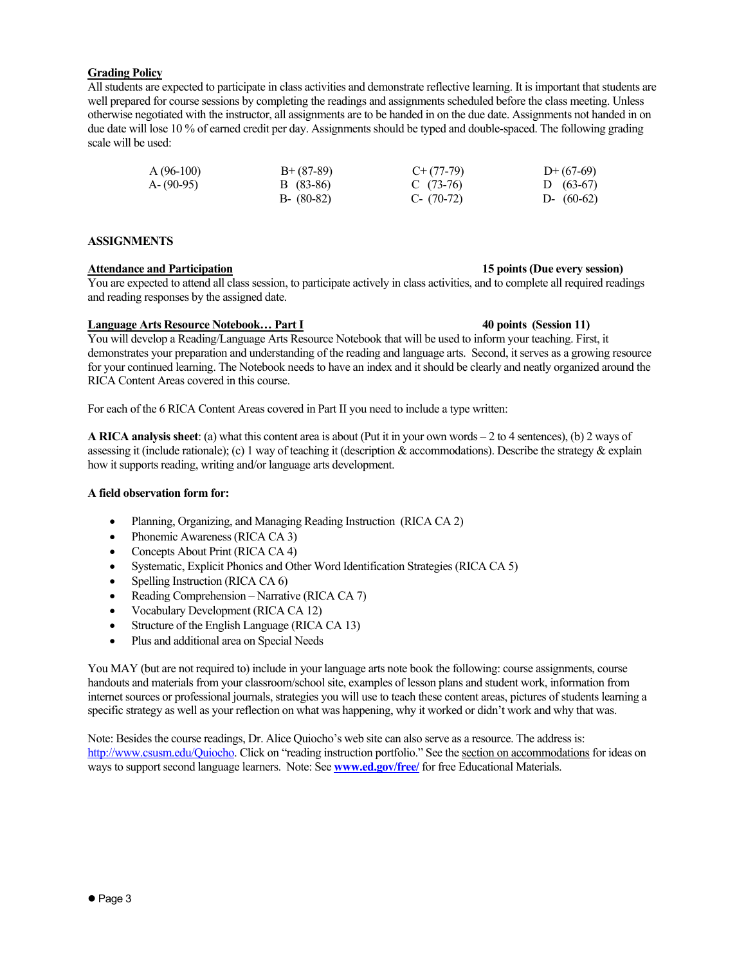## **Grading Policy**

All students are expected to participate in class activities and demonstrate reflective learning. It is important that students are well prepared for course sessions by completing the readings and assignments scheduled before the class meeting. Unless otherwise negotiated with the instructor, all assignments are to be handed in on the due date. Assignments not handed in on due date will lose 10 % of earned credit per day. Assignments should be typed and double-spaced. The following grading scale will be used:

| $A(96-100)$ | $B+ (87-89)$  | $C+(77-79)$  | $D+(67-69)$  |
|-------------|---------------|--------------|--------------|
| A-(90-95)   | B (83-86)     | C $(73-76)$  | D $(63-67)$  |
|             | $B - (80-82)$ | C- $(70-72)$ | D- $(60-62)$ |

## **ASSIGNMENTS**

# **Attendance and Participation 15 points (Due every session)**

You are expected to attend all class session, to participate actively in class activities, and to complete all required readings and reading responses by the assigned date.

#### **Language Arts Resource Notebook… Part I 40 points (Session 11)**

You will develop a Reading/Language Arts Resource Notebook that will be used to inform your teaching. First, it demonstrates your preparation and understanding of the reading and language arts. Second, it serves as a growing resource for your continued learning. The Notebook needs to have an index and it should be clearly and neatly organized around the RICA Content Areas covered in this course.

For each of the 6 RICA Content Areas covered in Part II you need to include a type written:

**A RICA analysis sheet**: (a) what this content area is about (Put it in your own words – 2 to 4 sentences), (b) 2 ways of assessing it (include rationale); (c) 1 way of teaching it (description  $\&$  accommodations). Describe the strategy  $\&$  explain how it supports reading, writing and/or language arts development.

### **A field observation form for:**

- Planning, Organizing, and Managing Reading Instruction (RICA CA 2)
- Phonemic Awareness (RICA CA 3)
- Concepts About Print (RICA CA 4)
- Systematic, Explicit Phonics and Other Word Identification Strategies (RICA CA 5)
- Spelling Instruction (RICA CA 6)
- Reading Comprehension Narrative (RICA CA 7)
- Vocabulary Development (RICA CA 12)
- Structure of the English Language (RICA CA 13)
- Plus and additional area on Special Needs

You MAY (but are not required to) include in your language arts note book the following: course assignments, course handouts and materials from your classroom/school site, examples of lesson plans and student work, information from internet sources or professional journals, strategies you will use to teach these content areas, pictures of students learning a specific strategy as well as your reflection on what was happening, why it worked or didn't work and why that was.

Note: Besides the course readings, Dr. Alice Quiocho's web site can also serve as a resource. The address is: http://www.csusm.edu/Quiocho. Click on "reading instruction portfolio." See the section on accommodations for ideas on ways to support second language learners. Note: See **www.ed.gov/free/** for free Educational Materials.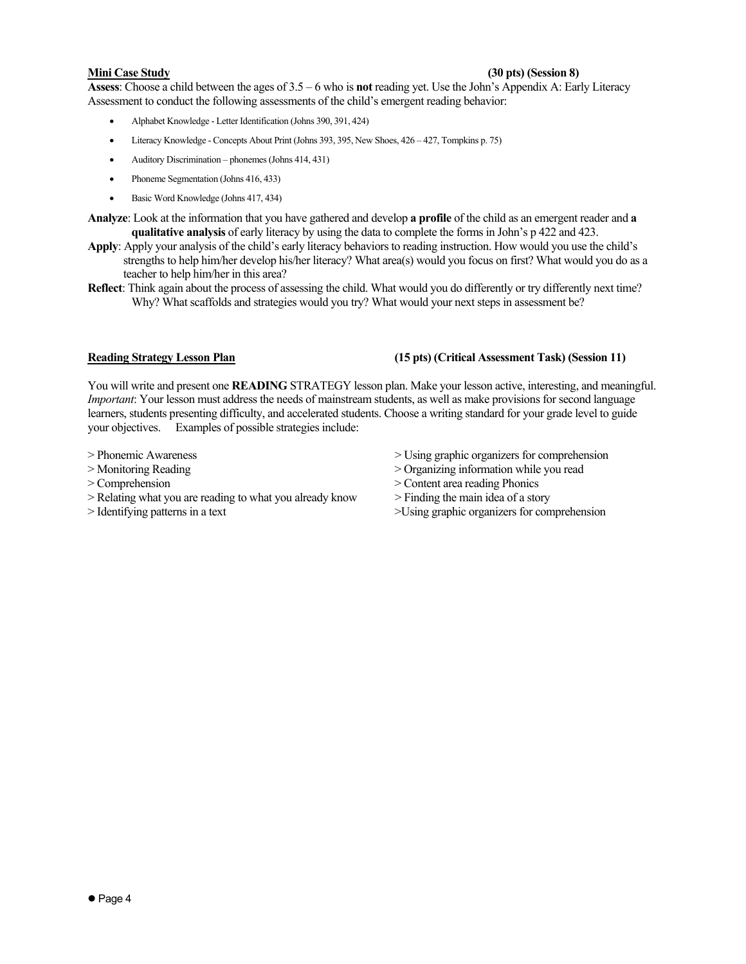## **Mini Case Study (30 pts) (Session 8)**

**Assess**: Choose a child between the ages of 3.5 – 6 who is **not** reading yet. Use the John's Appendix A: Early Literacy Assessment to conduct the following assessments of the child's emergent reading behavior:

- Alphabet Knowledge Letter Identification (Johns 390, 391, 424)
- Literacy Knowledge Concepts About Print (Johns 393, 395, New Shoes, 426 427, Tompkins p. 75)
- Auditory Discrimination phonemes (Johns 414, 431)
- Phoneme Segmentation (Johns 416, 433)
- Basic Word Knowledge (Johns 417, 434)
- **Analyze**: Look at the information that you have gathered and develop **a profile** of the child as an emergent reader and **a qualitative analysis** of early literacy by using the data to complete the forms in John's p 422 and 423.
- **Apply**: Apply your analysis of the child's early literacy behaviors to reading instruction. How would you use the child's strengths to help him/her develop his/her literacy? What area(s) would you focus on first? What would you do as a teacher to help him/her in this area?
- **Reflect**: Think again about the process of assessing the child. What would you do differently or try differently next time? Why? What scaffolds and strategies would you try? What would your next steps in assessment be?

## **Reading Strategy Lesson Plan (15 pts) (Critical Assessment Task) (Session 11)**

You will write and present one **READING** STRATEGY lesson plan. Make your lesson active, interesting, and meaningful. *Important*: Your lesson must address the needs of mainstream students, as well as make provisions for second language learners, students presenting difficulty, and accelerated students. Choose a writing standard for your grade level to guide your objectives. Examples of possible strategies include:

- 
- 
- 
- > Relating what you are reading to what you already know > Finding the main idea of a story
- 
- > Phonemic Awareness > Using graphic organizers for comprehension
- > Monitoring Reading  $\geq$  Organizing information while you read
- > Comprehension > Content area reading Phonics
	-
- > Identifying patterns in a text  $>$ Using graphic organizers for comprehension